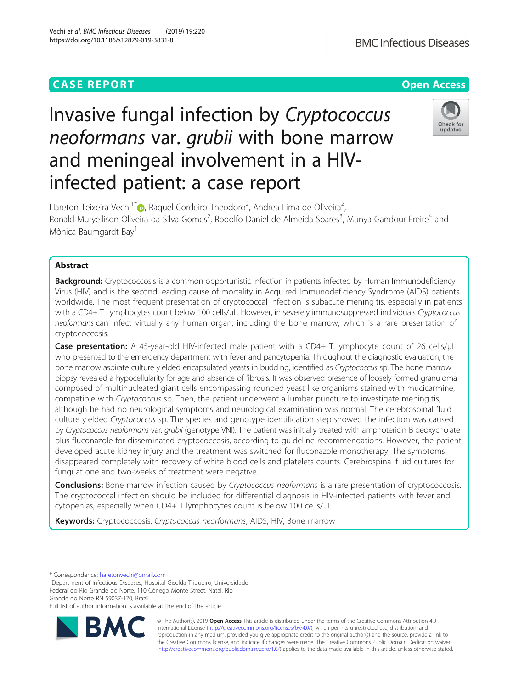## **CASE REPORT CASE REPORT CASE ACCESS**

# Invasive fungal infection by Cryptococcus neoformans var. grubii with bone marrow and meningeal involvement in a HIVinfected patient: a case report



Hareton Teixeira Vechi<sup>1[\\*](http://orcid.org/0000-0001-7845-3921)</sup> $\bullet$ , Raquel Cordeiro Theodoro<sup>2</sup>, Andrea Lima de Oliveira<sup>2</sup> , Ronald Muryellison Oliveira da Silva Gomes<sup>2</sup>, Rodolfo Daniel de Almeida Soares<sup>3</sup>, Munya Gandour Freire<sup>4</sup> and Mônica Baumgardt Bay<sup>1</sup>

## Abstract

**Background:** Cryptococcosis is a common opportunistic infection in patients infected by Human Immunodeficiency Virus (HIV) and is the second leading cause of mortality in Acquired Immunodeficiency Syndrome (AIDS) patients worldwide. The most frequent presentation of cryptococcal infection is subacute meningitis, especially in patients with a CD4+ T Lymphocytes count below 100 cells/µL. However, in severely immunosuppressed individuals Cryptococcus neoformans can infect virtually any human organ, including the bone marrow, which is a rare presentation of cryptococcosis.

Case presentation: A 45-year-old HIV-infected male patient with a CD4+ T lymphocyte count of 26 cells/uL who presented to the emergency department with fever and pancytopenia. Throughout the diagnostic evaluation, the bone marrow aspirate culture yielded encapsulated yeasts in budding, identified as Cryptococcus sp. The bone marrow biopsy revealed a hypocellularity for age and absence of fibrosis. It was observed presence of loosely formed granuloma composed of multinucleated giant cells encompassing rounded yeast like organisms stained with mucicarmine, compatible with Cryptococcus sp. Then, the patient underwent a lumbar puncture to investigate meningitis, although he had no neurological symptoms and neurological examination was normal. The cerebrospinal fluid culture yielded Cryptococcus sp. The species and genotype identification step showed the infection was caused by Cryptococcus neoformans var. grubii (genotype VNI). The patient was initially treated with amphotericin B deoxycholate plus fluconazole for disseminated cryptococcosis, according to guideline recommendations. However, the patient developed acute kidney injury and the treatment was switched for fluconazole monotherapy. The symptoms disappeared completely with recovery of white blood cells and platelets counts. Cerebrospinal fluid cultures for fungi at one and two-weeks of treatment were negative.

Conclusions: Bone marrow infection caused by Cryptococcus neoformans is a rare presentation of cryptococcosis. The cryptococcal infection should be included for differential diagnosis in HIV-infected patients with fever and cytopenias, especially when CD4+ T lymphocytes count is below 100 cells/μL.

Keywords: Cryptococcosis, Cryptococcus neorformans, AIDS, HIV, Bone marrow

\* Correspondence: [haretonvechi@gmail.com](mailto:haretonvechi@gmail.com) <sup>1</sup>

<sup>1</sup>Department of Infectious Diseases, Hospital Giselda Trigueiro, Universidade Federal do Rio Grande do Norte, 110 Cônego Monte Street, Natal, Rio Grande do Norte RN 59037-170, Brazil

Full list of author information is available at the end of the article



© The Author(s). 2019 **Open Access** This article is distributed under the terms of the Creative Commons Attribution 4.0 International License [\(http://creativecommons.org/licenses/by/4.0/](http://creativecommons.org/licenses/by/4.0/)), which permits unrestricted use, distribution, and reproduction in any medium, provided you give appropriate credit to the original author(s) and the source, provide a link to the Creative Commons license, and indicate if changes were made. The Creative Commons Public Domain Dedication waiver [\(http://creativecommons.org/publicdomain/zero/1.0/](http://creativecommons.org/publicdomain/zero/1.0/)) applies to the data made available in this article, unless otherwise stated.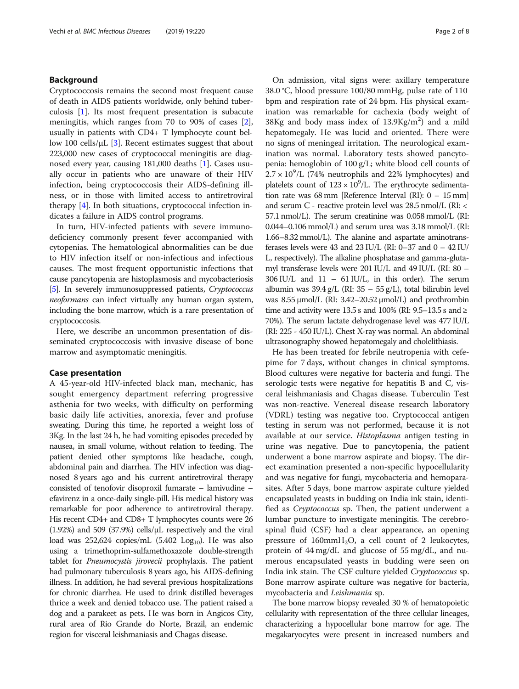### Background

Cryptococcosis remains the second most frequent cause of death in AIDS patients worldwide, only behind tuberculosis [\[1](#page-6-0)]. Its most frequent presentation is subacute meningitis, which ranges from 70 to 90% of cases [\[2](#page-6-0)], usually in patients with CD4+ T lymphocyte count bellow 100 cells/μL [\[3](#page-6-0)]. Recent estimates suggest that about 223,000 new cases of cryptococcal meningitis are diagnosed every year, causing 181,000 deaths [\[1](#page-6-0)]. Cases usually occur in patients who are unaware of their HIV infection, being cryptococcosis their AIDS-defining illness, or in those with limited access to antiretroviral therapy [[4](#page-6-0)]. In both situations, cryptococcal infection indicates a failure in AIDS control programs.

In turn, HIV-infected patients with severe immunodeficiency commonly present fever accompanied with cytopenias. The hematological abnormalities can be due to HIV infection itself or non-infectious and infectious causes. The most frequent opportunistic infections that cause pancytopenia are histoplasmosis and mycobacteriosis [[5](#page-6-0)]. In severely immunosuppressed patients, Cryptococcus neoformans can infect virtually any human organ system, including the bone marrow, which is a rare presentation of cryptococcosis.

Here, we describe an uncommon presentation of disseminated cryptococcosis with invasive disease of bone marrow and asymptomatic meningitis.

#### Case presentation

A 45-year-old HIV-infected black man, mechanic, has sought emergency department referring progressive asthenia for two weeks, with difficulty on performing basic daily life activities, anorexia, fever and profuse sweating. During this time, he reported a weight loss of 3Kg. In the last 24 h, he had vomiting episodes preceded by nausea, in small volume, without relation to feeding. The patient denied other symptoms like headache, cough, abdominal pain and diarrhea. The HIV infection was diagnosed 8 years ago and his current antiretroviral therapy consisted of tenofovir disoproxil fumarate – lamivudine – efavirenz in a once-daily single-pill. His medical history was remarkable for poor adherence to antiretroviral therapy. His recent CD4+ and CD8+ T lymphocytes counts were 26  $(1.92%)$  and 509 (37.9%) cells/ $\mu$ L respectively and the viral load was  $252,624$  copies/mL  $(5.402 \text{ Log}_{10})$ . He was also using a trimethoprim-sulfamethoxazole double-strength tablet for Pneumocystis jirovecii prophylaxis. The patient had pulmonary tuberculosis 8 years ago, his AIDS-defining illness. In addition, he had several previous hospitalizations for chronic diarrhea. He used to drink distilled beverages thrice a week and denied tobacco use. The patient raised a dog and a parakeet as pets. He was born in Angicos City, rural area of Rio Grande do Norte, Brazil, an endemic region for visceral leishmaniasis and Chagas disease.

On admission, vital signs were: axillary temperature 38.0 °C, blood pressure 100/80 mmHg, pulse rate of 110 bpm and respiration rate of 24 bpm. His physical examination was remarkable for cachexia (body weight of  $38$ Kg and body mass index of  $13.9$ Kg/m<sup>2</sup>) and a mild hepatomegaly. He was lucid and oriented. There were no signs of meningeal irritation. The neurological examination was normal. Laboratory tests showed pancytopenia: hemoglobin of 100 g/L; white blood cell counts of  $2.7 \times 10^9$ /L (74% neutrophils and 22% lymphocytes) and platelets count of  $123 \times 10^9$ /L. The erythrocyte sedimentation rate was 68 mm [Reference Interval (RI): 0 – 15 mm] and serum C - reactive protein level was 28.5 nmol/L (RI: < 57.1 nmol/L). The serum creatinine was 0.058 mmol/L (RI: 0.044–0.106 mmol/L) and serum urea was 3.18 mmol/L (RI: 1.66–8.32 mmol/L). The alanine and aspartate aminotransferases levels were 43 and 23 IU/L (RI:  $0-37$  and  $0-42$  IU/ L, respectively). The alkaline phosphatase and gamma-glutamyl transferase levels were 201 IU/L and 49 IU/L (RI: 80 – 306 IU/L and 11 – 61 IU/L, in this order). The serum albumin was 39.4 g/L (RI: 35 – 55 g/L), total bilirubin level was 8.55 μmol/L (RI: 3.42–20.52 μmol/L) and prothrombin time and activity were 13.5 s and 100% (RI:  $9.5-13.5$  s and  $\ge$ 70%). The serum lactate dehydrogenase level was 477 IU/L (RI: 225 - 450 IU/L). Chest X-ray was normal. An abdominal ultrasonography showed hepatomegaly and cholelithiasis.

He has been treated for febrile neutropenia with cefepime for 7 days, without changes in clinical symptoms. Blood cultures were negative for bacteria and fungi. The serologic tests were negative for hepatitis B and C, visceral leishmaniasis and Chagas disease. Tuberculin Test was non-reactive. Venereal disease research laboratory (VDRL) testing was negative too. Cryptococcal antigen testing in serum was not performed, because it is not available at our service. Histoplasma antigen testing in urine was negative. Due to pancytopenia, the patient underwent a bone marrow aspirate and biopsy. The direct examination presented a non-specific hypocellularity and was negative for fungi, mycobacteria and hemoparasites. After 5 days, bone marrow aspirate culture yielded encapsulated yeasts in budding on India ink stain, identified as Cryptococcus sp. Then, the patient underwent a lumbar puncture to investigate meningitis. The cerebrospinal fluid (CSF) had a clear appearance, an opening pressure of  $160$ mm $H<sub>2</sub>O$ , a cell count of 2 leukocytes, protein of 44 mg/dL and glucose of 55 mg/dL, and numerous encapsulated yeasts in budding were seen on India ink stain. The CSF culture yielded Cryptococcus sp. Bone marrow aspirate culture was negative for bacteria, mycobacteria and Leishmania sp.

The bone marrow biopsy revealed 30 % of hematopoietic cellularity with representation of the three cellular lineages, characterizing a hypocellular bone marrow for age. The megakaryocytes were present in increased numbers and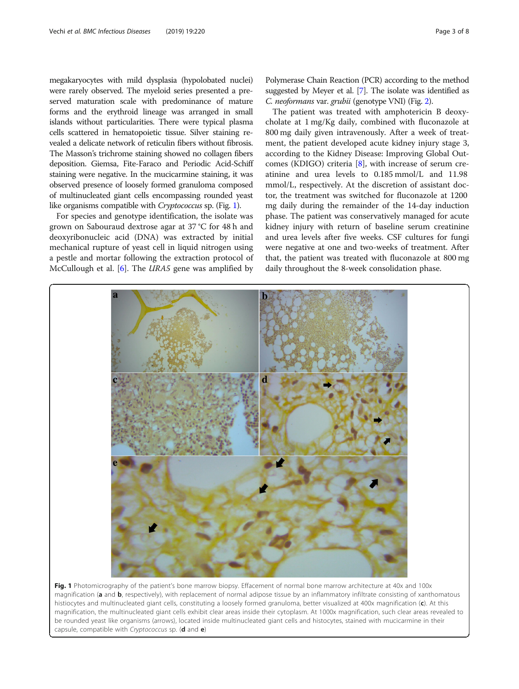megakaryocytes with mild dysplasia (hypolobated nuclei) were rarely observed. The myeloid series presented a preserved maturation scale with predominance of mature forms and the erythroid lineage was arranged in small islands without particularities. There were typical plasma cells scattered in hematopoietic tissue. Silver staining revealed a delicate network of reticulin fibers without fibrosis. The Masson's trichrome staining showed no collagen fibers deposition. Giemsa, Fite-Faraco and Periodic Acid-Schiff staining were negative. In the mucicarmine staining, it was observed presence of loosely formed granuloma composed of multinucleated giant cells encompassing rounded yeast like organisms compatible with Cryptococcus sp. (Fig. 1).

For species and genotype identification, the isolate was grown on Sabouraud dextrose agar at 37 °C for 48 h and deoxyribonucleic acid (DNA) was extracted by initial mechanical rupture of yeast cell in liquid nitrogen using a pestle and mortar following the extraction protocol of McCullough et al. [[6\]](#page-6-0). The *URA5* gene was amplified by

Polymerase Chain Reaction (PCR) according to the method suggested by Meyer et al. [\[7](#page-6-0)]. The isolate was identified as C. neoformans var. grubii (genotype VNI) (Fig. [2](#page-3-0)).

The patient was treated with amphotericin B deoxycholate at 1 mg/Kg daily, combined with fluconazole at 800 mg daily given intravenously. After a week of treatment, the patient developed acute kidney injury stage 3, according to the Kidney Disease: Improving Global Outcomes (KDIGO) criteria [\[8\]](#page-6-0), with increase of serum creatinine and urea levels to 0.185 mmol/L and 11.98 mmol/L, respectively. At the discretion of assistant doctor, the treatment was switched for fluconazole at 1200 mg daily during the remainder of the 14-day induction phase. The patient was conservatively managed for acute kidney injury with return of baseline serum creatinine and urea levels after five weeks. CSF cultures for fungi were negative at one and two-weeks of treatment. After that, the patient was treated with fluconazole at 800 mg daily throughout the 8-week consolidation phase.



Fig. 1 Photomicrography of the patient's bone marrow biopsy. Effacement of normal bone marrow architecture at 40x and 100x magnification (a and b, respectively), with replacement of normal adipose tissue by an inflammatory infiltrate consisting of xanthomatous histiocytes and multinucleated giant cells, constituting a loosely formed granuloma, better visualized at 400x magnification (c). At this magnification, the multinucleated giant cells exhibit clear areas inside their cytoplasm. At 1000x magnification, such clear areas revealed to be rounded yeast like organisms (arrows), located inside multinucleated giant cells and histocytes, stained with mucicarmine in their capsule, compatible with Cryptococcus sp. (d and e)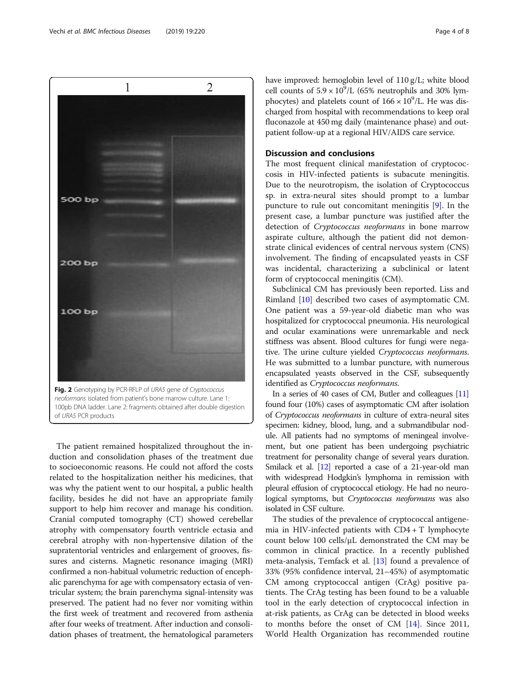<span id="page-3-0"></span>

The patient remained hospitalized throughout the induction and consolidation phases of the treatment due to socioeconomic reasons. He could not afford the costs related to the hospitalization neither his medicines, that was why the patient went to our hospital, a public health facility, besides he did not have an appropriate family support to help him recover and manage his condition. Cranial computed tomography (CT) showed cerebellar atrophy with compensatory fourth ventricle ectasia and cerebral atrophy with non-hypertensive dilation of the supratentorial ventricles and enlargement of grooves, fissures and cisterns. Magnetic resonance imaging (MRI) confirmed a non-habitual volumetric reduction of encephalic parenchyma for age with compensatory ectasia of ventricular system; the brain parenchyma signal-intensity was preserved. The patient had no fever nor vomiting within the first week of treatment and recovered from asthenia after four weeks of treatment. After induction and consolidation phases of treatment, the hematological parameters have improved: hemoglobin level of 110 g/L; white blood cell counts of  $5.9 \times 10^9$ /L (65% neutrophils and 30% lymphocytes) and platelets count of  $166 \times 10^9$ /L. He was discharged from hospital with recommendations to keep oral fluconazole at 450 mg daily (maintenance phase) and outpatient follow-up at a regional HIV/AIDS care service.

#### Discussion and conclusions

The most frequent clinical manifestation of cryptococcosis in HIV-infected patients is subacute meningitis. Due to the neurotropism, the isolation of Cryptococcus sp. in extra-neural sites should prompt to a lumbar puncture to rule out concomitant meningitis [\[9](#page-6-0)]. In the present case, a lumbar puncture was justified after the detection of Cryptococcus neoformans in bone marrow aspirate culture, although the patient did not demonstrate clinical evidences of central nervous system (CNS) involvement. The finding of encapsulated yeasts in CSF was incidental, characterizing a subclinical or latent form of cryptococcal meningitis (CM).

Subclinical CM has previously been reported. Liss and Rimland [[10\]](#page-6-0) described two cases of asymptomatic CM. One patient was a 59-year-old diabetic man who was hospitalized for cryptococcal pneumonia. His neurological and ocular examinations were unremarkable and neck stiffness was absent. Blood cultures for fungi were negative. The urine culture yielded Cryptococcus neoformans. He was submitted to a lumbar puncture, with numerous encapsulated yeasts observed in the CSF, subsequently identified as Cryptococcus neoformans.

In a series of 40 cases of CM, Butler and colleagues [\[11](#page-6-0)] found four (10%) cases of asymptomatic CM after isolation of Cryptococcus neoformans in culture of extra-neural sites specimen: kidney, blood, lung, and a submandibular nodule. All patients had no symptoms of meningeal involvement, but one patient has been undergoing psychiatric treatment for personality change of several years duration. Smilack et al. [\[12\]](#page-6-0) reported a case of a 21-year-old man with widespread Hodgkin's lymphoma in remission with pleural effusion of cryptococcal etiology. He had no neurological symptoms, but Cryptococcus neoformans was also isolated in CSF culture.

The studies of the prevalence of cryptococcal antigenemia in HIV-infected patients with CD4 + T lymphocyte count below 100 cells/μL demonstrated the CM may be common in clinical practice. In a recently published meta-analysis, Temfack et al. [\[13](#page-6-0)] found a prevalence of 33% (95% confidence interval, 21–45%) of asymptomatic CM among cryptococcal antigen (CrAg) positive patients. The CrAg testing has been found to be a valuable tool in the early detection of cryptococcal infection in at-risk patients, as CrAg can be detected in blood weeks to months before the onset of  $CM$  [\[14\]](#page-6-0). Since 2011, World Health Organization has recommended routine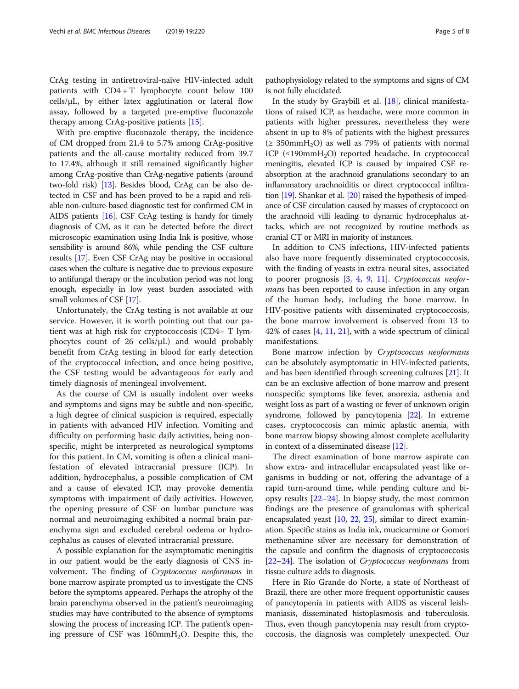CrAg testing in antiretroviral-naïve HIV-infected adult patients with  $CD4 + T$  lymphocyte count below 100  $cells/µL$ , by either latex agglutination or lateral flow assay, followed by a targeted pre-emptive fluconazole therapy among CrAg-positive patients [\[15\]](#page-6-0).

With pre-emptive fluconazole therapy, the incidence of CM dropped from 21.4 to 5.7% among CrAg-positive patients and the all-cause mortality reduced from 39.7 to 17.4%, although it still remained significantly higher among CrAg-positive than CrAg-negative patients (around two-fold risk) [\[13](#page-6-0)]. Besides blood, CrAg can be also detected in CSF and has been proved to be a rapid and reliable non-culture-based diagnostic test for confirmed CM in AIDS patients [\[16](#page-6-0)]. CSF CrAg testing is handy for timely diagnosis of CM, as it can be detected before the direct microscopic examination using India Ink is positive, whose sensibility is around 86%, while pending the CSF culture results [[17](#page-6-0)]. Even CSF CrAg may be positive in occasional cases when the culture is negative due to previous exposure to antifungal therapy or the incubation period was not long enough, especially in low yeast burden associated with small volumes of CSF [\[17\]](#page-6-0).

Unfortunately, the CrAg testing is not available at our service. However, it is worth pointing out that our patient was at high risk for cryptococcosis (CD4+ T lymphocytes count of 26 cells/μL) and would probably benefit from CrAg testing in blood for early detection of the cryptococcal infection, and once being positive, the CSF testing would be advantageous for early and timely diagnosis of meningeal involvement.

As the course of CM is usually indolent over weeks and symptoms and signs may be subtle and non-specific, a high degree of clinical suspicion is required, especially in patients with advanced HIV infection. Vomiting and difficulty on performing basic daily activities, being nonspecific, might be interpreted as neurological symptoms for this patient. In CM, vomiting is often a clinical manifestation of elevated intracranial pressure (ICP). In addition, hydrocephalus, a possible complication of CM and a cause of elevated ICP, may provoke dementia symptoms with impairment of daily activities. However, the opening pressure of CSF on lumbar puncture was normal and neuroimaging exhibited a normal brain parenchyma sign and excluded cerebral oedema or hydrocephalus as causes of elevated intracranial pressure.

A possible explanation for the asymptomatic meningitis in our patient would be the early diagnosis of CNS involvement. The finding of Cryptococcus neoformans in bone marrow aspirate prompted us to investigate the CNS before the symptoms appeared. Perhaps the atrophy of the brain parenchyma observed in the patient's neuroimaging studies may have contributed to the absence of symptoms slowing the process of increasing ICP. The patient's opening pressure of CSF was 160mmH2O. Despite this, the

pathophysiology related to the symptoms and signs of CM is not fully elucidated.

In the study by Graybill et al. [\[18](#page-6-0)], clinical manifestations of raised ICP, as headache, were more common in patients with higher pressures, nevertheless they were absent in up to 8% of patients with the highest pressures  $(\geq 350$ mmH<sub>2</sub>O) as well as 79% of patients with normal ICP  $(\leq 190$ mmH<sub>2</sub>O) reported headache. In cryptococcal meningitis, elevated ICP is caused by impaired CSF reabsorption at the arachnoid granulations secondary to an inflammatory arachnoiditis or direct cryptococcal infiltration [[19](#page-6-0)]. Shankar et al. [\[20\]](#page-6-0) raised the hypothesis of impedance of CSF circulation caused by masses of cryptococci on the arachnoid villi leading to dynamic hydrocephalus attacks, which are not recognized by routine methods as cranial CT or MRI in majority of instances.

In addition to CNS infections, HIV-infected patients also have more frequently disseminated cryptococcosis, with the finding of yeasts in extra-neural sites, associated to poorer prognosis [\[3,](#page-6-0) [4,](#page-6-0) [9,](#page-6-0) [11](#page-6-0)]. Cryptococcus neoformans has been reported to cause infection in any organ of the human body, including the bone marrow. In HIV-positive patients with disseminated cryptococcosis, the bone marrow involvement is observed from 13 to 42% of cases [[4,](#page-6-0) [11,](#page-6-0) [21\]](#page-6-0), with a wide spectrum of clinical manifestations.

Bone marrow infection by Cryptococcus neoformans can be absolutely asymptomatic in HIV-infected patients, and has been identified through screening cultures [[21](#page-6-0)]. It can be an exclusive affection of bone marrow and present nonspecific symptoms like fever, anorexia, asthenia and weight loss as part of a wasting or fever of unknown origin syndrome, followed by pancytopenia  $[22]$  $[22]$ . In extreme cases, cryptococcosis can mimic aplastic anemia, with bone marrow biopsy showing almost complete acellularity in context of a disseminated disease [\[12](#page-6-0)].

The direct examination of bone marrow aspirate can show extra- and intracellular encapsulated yeast like organisms in budding or not, offering the advantage of a rapid turn-around time, while pending culture and biopsy results [[22](#page-6-0)–[24](#page-6-0)]. In biopsy study, the most common findings are the presence of granulomas with spherical encapsulated yeast [[10](#page-6-0), [22,](#page-6-0) [25](#page-6-0)], similar to direct examination. Specific stains as India ink, mucicarmine or Gomori methenamine silver are necessary for demonstration of the capsule and confirm the diagnosis of cryptococcosis [[22](#page-6-0)–[24\]](#page-6-0). The isolation of Cryptococcus neoformans from tissue culture adds to diagnosis.

Here in Rio Grande do Norte, a state of Northeast of Brazil, there are other more frequent opportunistic causes of pancytopenia in patients with AIDS as visceral leishmaniasis, disseminated histoplasmosis and tuberculosis. Thus, even though pancytopenia may result from cryptococcosis, the diagnosis was completely unexpected. Our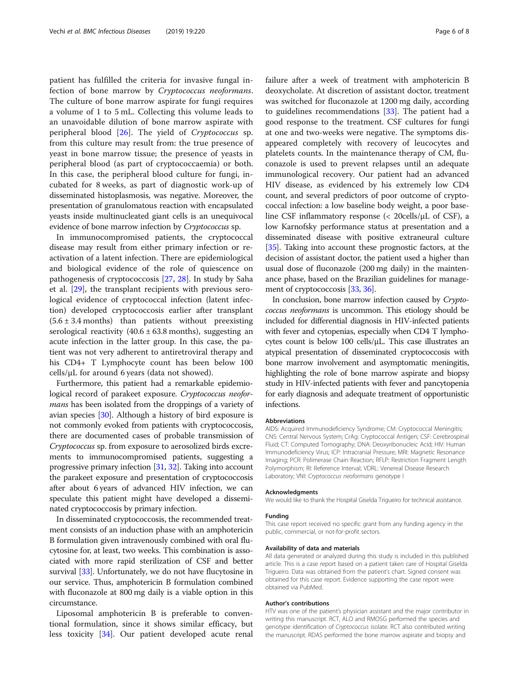patient has fulfilled the criteria for invasive fungal infection of bone marrow by Cryptococcus neoformans. The culture of bone marrow aspirate for fungi requires a volume of 1 to 5 mL. Collecting this volume leads to an unavoidable dilution of bone marrow aspirate with peripheral blood  $[26]$  $[26]$  $[26]$ . The yield of *Cryptococcus* sp. from this culture may result from: the true presence of yeast in bone marrow tissue; the presence of yeasts in peripheral blood (as part of cryptococcaemia) or both. In this case, the peripheral blood culture for fungi, incubated for 8 weeks, as part of diagnostic work-up of disseminated histoplasmosis, was negative. Moreover, the presentation of granulomatous reaction with encapsulated yeasts inside multinucleated giant cells is an unequivocal evidence of bone marrow infection by Cryptococcus sp.

In immunocompromised patients, the cryptococcal disease may result from either primary infection or reactivation of a latent infection. There are epidemiological and biological evidence of the role of quiescence on pathogenesis of cryptococcosis [[27,](#page-6-0) [28\]](#page-6-0). In study by Saha et al. [[29](#page-6-0)], the transplant recipients with previous serological evidence of cryptococcal infection (latent infection) developed cryptococcosis earlier after transplant  $(5.6 \pm 3.4 \text{ months})$  than patients without preexisting serological reactivity  $(40.6 \pm 63.8 \text{ months})$ , suggesting an acute infection in the latter group. In this case, the patient was not very adherent to antiretroviral therapy and his CD4+ T Lymphocyte count has been below 100 cells/μL for around 6 years (data not showed).

Furthermore, this patient had a remarkable epidemiological record of parakeet exposure. Cryptococcus neoformans has been isolated from the droppings of a variety of avian species [\[30](#page-6-0)]. Although a history of bird exposure is not commonly evoked from patients with cryptococcosis, there are documented cases of probable transmission of Cryptococcus sp. from exposure to aerosolized birds excrements to immunocompromised patients, suggesting a progressive primary infection [\[31,](#page-6-0) [32\]](#page-6-0). Taking into account the parakeet exposure and presentation of cryptococcosis after about 6 years of advanced HIV infection, we can speculate this patient might have developed a disseminated cryptococcosis by primary infection.

In disseminated cryptococcosis, the recommended treatment consists of an induction phase with an amphotericin B formulation given intravenously combined with oral flucytosine for, at least, two weeks. This combination is associated with more rapid sterilization of CSF and better survival [[33](#page-6-0)]. Unfortunately, we do not have flucytosine in our service. Thus, amphotericin B formulation combined with fluconazole at 800 mg daily is a viable option in this circumstance.

Liposomal amphotericin B is preferable to conventional formulation, since it shows similar efficacy, but less toxicity [[34\]](#page-6-0). Our patient developed acute renal

failure after a week of treatment with amphotericin B deoxycholate. At discretion of assistant doctor, treatment was switched for fluconazole at 1200 mg daily, according to guidelines recommendations [\[33\]](#page-6-0). The patient had a good response to the treatment. CSF cultures for fungi at one and two-weeks were negative. The symptoms disappeared completely with recovery of leucocytes and platelets counts. In the maintenance therapy of CM, fluconazole is used to prevent relapses until an adequate immunological recovery. Our patient had an advanced HIV disease, as evidenced by his extremely low CD4 count, and several predictors of poor outcome of cryptococcal infection: a low baseline body weight, a poor baseline CSF inflammatory response (< 20cells/μL of CSF), a low Karnofsky performance status at presentation and a disseminated disease with positive extraneural culture [[35](#page-7-0)]. Taking into account these prognostic factors, at the decision of assistant doctor, the patient used a higher than usual dose of fluconazole (200 mg daily) in the maintenance phase, based on the Brazilian guidelines for management of cryptococcosis [[33](#page-6-0), [36\]](#page-7-0).

In conclusion, bone marrow infection caused by Cryptococcus neoformans is uncommon. This etiology should be included for differential diagnosis in HIV-infected patients with fever and cytopenias, especially when CD4 T lymphocytes count is below 100 cells/μL. This case illustrates an atypical presentation of disseminated cryptococcosis with bone marrow involvement and asymptomatic meningitis, highlighting the role of bone marrow aspirate and biopsy study in HIV-infected patients with fever and pancytopenia for early diagnosis and adequate treatment of opportunistic infections.

#### **Abbreviations**

AIDS: Acquired Immunodeficiency Syndrome; CM: Cryptococcal Meningitis; CNS: Central Nervous System; CrAg: Cryptococcal Antigen; CSF: Cerebrospinal Fluid; CT: Computed Tomography; DNA: Deoxyribonucleic Acid; HIV: Human Immunodeficiency Virus; ICP: Intracranial Pressure; MRI: Magnetic Resonance Imaging; PCR: Polimerase Chain Reaction; RFLP: Restriction Fragment Length Polymorphism; RI: Reference Interval; VDRL: Venereal Disease Research Laboratory; VNI: Cryptococcus neoformans genotype I

#### Acknowledgments

We would like to thank the Hospital Giselda Trigueiro for technical assistance.

#### Funding

This case report received no specific grant from any funding agency in the public, commercial, or not-for-profit sectors.

#### Availability of data and materials

All data generated or analyzed during this study is included in this published article. This is a case report based on a patient taken care of Hospital Giselda Trigueiro. Data was obtained from the patient's chart. Signed consent was obtained for this case report. Evidence supporting the case report were obtained via PubMed.

#### Author's contributions

HTV was one of the patient's physician assistant and the major contributor in writing this manuscript. RCT, ALO and RMOSG performed the species and genotype identification of Cryptococcus isolate. RCT also contributed writing the manuscript. RDAS performed the bone marrow aspirate and biopsy and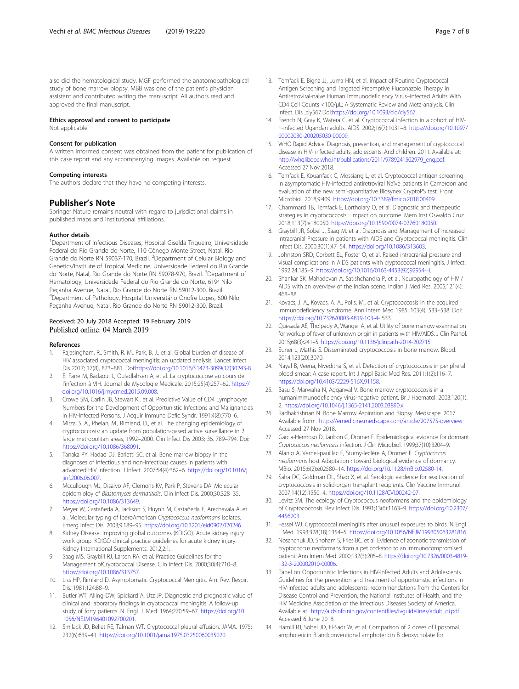#### <span id="page-6-0"></span>Ethics approval and consent to participate

Not applicable.

#### Consent for publication

A written informed consent was obtained from the patient for publication of this case report and any accompanying images. Available on request.

#### Competing interests

The authors declare that they have no competing interests.

#### Publisher's Note

Springer Nature remains neutral with regard to jurisdictional claims in published maps and institutional affiliations.

#### Author details

<sup>1</sup>Department of Infectious Diseases, Hospital Giselda Trigueiro, Universidade Federal do Rio Grande do Norte, 110 Cônego Monte Street, Natal, Rio Grande do Norte RN 59037-170, Brazil. <sup>2</sup>Department of Celular Biology and Genetics/Institute of Tropical Medicine, Universidade Federal do Rio Grande do Norte, Natal, Rio Grande do Norte RN 59078-970, Brazil. <sup>3</sup>Department of Hematology, Universidade Federal do Rio Grande do Norte, 619ª Nilo Peçanha Avenue, Natal, Rio Grande do Norte RN 59012-300, Brazil. 4 Department of Pathology, Hospital Universitário Onofre Lopes, 600 Nilo Peçanha Avenue, Natal, Rio Grande do Norte RN 59012-300, Brazil.

#### Received: 20 July 2018 Accepted: 19 February 2019 Published online: 04 March 2019

#### References

- 1. Rajasingham, R., Smith, R. M., Park, B. J., et al. Global burden of disease of HIV associated cryptococcal meningitis: an updated analysis. Lancet Infect Dis 2017; 17(8), 873–881. Doi[:https://doi.org/10.1016/S1473-3099\(17\)30243-8](https://doi.org/10.1016/S1473-3099(17)30243-8).
- 2. El Fane M, Badaoui L, Ouladlahsen A, et al. La cryptococcose au cours de l'infection à VIH. Journal de Mycologie Medicale. 2015;25(4):257–62. [https://](https://doi.org/10.1016/j.mycmed.2015.09.008) [doi.org/10.1016/j.mycmed.2015.09.008](https://doi.org/10.1016/j.mycmed.2015.09.008).
- Crowe SM, Carlin JB, Stewart KI, et al. Predictive Value of CD4 Lymphocyte Numbers for the Development of Opportunistic Infections and Malignancies in HIV-Infected Persons. J Acquir Immune Defic Syndr. 1991;4(8):770–6.
- 4. Mirza, S. A., Phelan, M., Rimland, D., et al. The changing epidemiology of cryptococcosis: an update from population-based active surveillance in 2 large metropolitan areas, 1992–2000. Clin Infect Dis 2003; 36, 789–794. Doi: <https://doi.org/10.1086/368091>.
- Tanaka PY, Hadad DJ, Barletti SC, et al. Bone marrow biopsy in the diagnoses of infectious and non-infectious causes in patients with advanced HIV infection. J Infect. 2007;54(4):362–6. [https://doi.org/10.1016/j.](https://doi.org/10.1016/j.jinf.2006.06.007) [jinf.2006.06.007.](https://doi.org/10.1016/j.jinf.2006.06.007)
- Mccullough MJ, Disalvo AF, Clemons KV, Park P, Stevens DA. Molecular epidemioloy of Blastomyces dermatitidis. Clin Infect Dis. 2000;30:328–35. <https://doi.org/10.1086/313649>.
- 7. Meyer W, Castañeda A, Jackson S, Huynh M, Castañeda E, Arechavala A, et al. Molecular typing of IberoAmerican Cryptococcus neoformans isolates. Emerg Infect Dis. 2003;9:189–95. [https://doi.org/10.3201/eid0902.020246.](https://doi.org/10.3201/eid0902.020246)
- Kidney Disease. Improving global outcomes (KDIGO). Acute kidney injury work group. KDIGO clinical practice guidelines for acute kidney injury. Kidney International Supplements. 2012;2:1.
- Saag MS, Graybill RJ, Larsen RA, et al. Practice Guidelines for the Management ofCryptococcal Disease. Clin Infect Dis. 2000;30(4):710–8. <https://doi.org/10.1086/313757>.
- 10. Liss HP, Rimland D. Asymptomatic Cryptococcal Menigitis. Am. Rev. Respir. Dis. 1981;124:88–9.
- 11. Butler WT, Alling DW, Spickard A, Utz JP. Diagnostic and prognostic value of clinical and laboratory findings in cryptococcal meningitis. A follow-up study of forty patients. N. Engl. J. Med. 1964;270:59–67. [https://doi.org/10.](https://doi.org/10.1056/NEJM196401092700201) [1056/NEJM196401092700201.](https://doi.org/10.1056/NEJM196401092700201)
- 12. Smilack JD, Bellet RE, Talman WT. Cryptococcal pleural effusion. JAMA. 1975; 232(6):639–41. [https://doi.org/10.1001/jama.1975.03250060035020.](https://doi.org/10.1001/jama.1975.03250060035020)
- 13. Temfack E, Bigna JJ, Luma HN, et al. Impact of Routine Cryptococcal Antigen Screening and Targeted Preemptive Fluconazole Therapy in Antiretroviral-naive Human Immunodeficiency Virus–infected Adults With CD4 Cell Counts <100/μL: A Systematic Review and Meta-analysis. Clin. Infect. Dis ,ciy567.Doi[:https://doi.org/10.1093/cid/ciy567](https://doi.org/10.1093/cid/ciy567).
- 14. French N, Gray K, Watera C, et al. Cryptococcal infection in a cohort of HIV-1-infected Ugandan adults. AIDS. 2002;16(7):1031–8. [https://doi.org/10.1097/](https://doi.org/10.1097/00002030-200205030-00009) [00002030-200205030-00009.](https://doi.org/10.1097/00002030-200205030-00009)
- 15. WHO Rapid Advice. Diagnosis, prevention, and management of cryptococcal disease in HIV- infected adults, adolescents, And children. 2011. Available at: [http://whqlibdoc.who.int/publications/2011/9789241502979\\_eng.pdf](http://whqlibdoc.who.int/publications/2011/9789241502979_eng.pdf). Accessed 27 Nov 2018.
- 16. Temfack E, Kouanfack C, Mossiang L, et al. Cryptococcal antigen screening in asymptomatic HIV-infected antiretroviral Naïve patients in Cameroon and evaluation of the new semi-quantitative Biosynex CryptoPS test. Front Microbiol. 2018;9:409. <https://doi.org/10.3389/fmicb.2018.00409.>
- 17. Chammard TB, Temfack E, Lortholary O, et al. Diagnostic and therapeutic strategies in cryptococcosis : impact on outcome. Mem Inst Oswaldo Cruz. 2018;113(7):e180050. <https://doi.org/10.1590/0074-02760180050.>
- 18. Graybill JR, Sobel J, Saag M, et al. Diagnosis and Management of Increased Intracranial Pressure in patients with AIDS and Cryptococcal meningitis. Clin Infect Dis. 2000;30(1):47–54. [https://doi.org/10.1086/313603.](https://doi.org/10.1086/313603)
- 19. Johnston SRD, Corbett EL, Foster O, et al. Raised intracranial pressure and visual complications in AIDS patients with cryptococcal meningitis. J Infect. 1992;24:185–9. [https://doi.org/10.1016/0163-4453\(92\)92954-H.](https://doi.org/10.1016/0163-4453(92)92954-H)
- 20. Shankar SK, Mahadevan A, Satishchandra P, et al. Neuropathology of HIV / AIDS with an overview of the Indian scene. Indian J Med Res. 2005;121(4): 468–88.
- 21. Kovacs, J. A., Kovacs, A. A., Polis, M., et al. Cryptococcosis in the acquired immunodeficiency syndrome. Ann Intern Med 1985; 103(4), 533–538. Doi: <https://doi.org/10.7326/0003-4819-103-4>- 533.
- 22. Quesada AE, Tholpady A, Wanger A, et al. Utility of bone marrow examination for workup of fever of unknown origin in patients with HIV/AIDS. J Clin Pathol. 2015;68(3):241–5. <https://doi.org/10.1136/jclinpath-2014-202715>.
- 23. Suner L, Mathis S. Disseminated cryptococcosis in bone marrow. Blood. 2014;123(20):3070.
- 24. Nayal B, Veena, Niveditha S, et al. Detection of cryptococcosis in peripheral blood smear: A case report. Int J Appl Basic Med Res. 2011;1(2):116–7. <https://doi.org/10.4103/2229-516X.91158>.
- 25. Basu S, Marwaha N, Aggarwal V. Bone marrow cryptococcosis in a humanimmunodeficiency virus-negative patient. Br J Haematol. 2003;120(1): 2. <https://doi.org/10.1046/j.1365-2141.2003.03890.x>.
- 26. Radhakrishnan N. Bone Marrow Aspiration and Biopsy. Medscape. 2017. Available from: <https://emedicine.medscape.com/article/207575-overview> . Accessed 27 Nov 2018.
- 27. Garcia-Hermoso D, Janbon G, Dromer F. Epidemiological evidence for dormant Cryptococcus neoformans infection. J Clin Microbiol. 1999;37(10):3204–9.
- 28. Alanio A, Vernel-pauillac F, Sturny-leclère A, Dromer F. Cryptococcus neoformans host Adaptation : toward biological evidence of dormancy. MBio. 2015;6(2):e02580–14. <https://doi.org/10.1128/mBio.02580-14.>
- 29. Saha DC, Goldman DL, Shao X, et al. Serologic evidence for reactivation of cryptococcosis in solid-organ transplant recipients. Clin Vaccine Immunol. 2007;14(12):1550–4. <https://doi.org/10.1128/CVI.00242-07>.
- 30. Levitz SM. The ecology of Cryptococcus neoformans and the epidemiology of Cryptococcosis. Rev Infect Dis. 1991;13(6):1163–9. [https://doi.org/10.2307/](https://doi.org/10.2307/4456203.) [4456203.](https://doi.org/10.2307/4456203.)
- 31. Fessel WJ. Cryptococcal meningitis after unusual exposures to birds. N Engl J Med. 1993;328(18):1354–5. <https://doi.org/10.1056/NEJM199305063281816>.
- 32. Nosanchuk JD, Shoham S, Fries BC, et al. Evidence of zoonotic transmission of cryptococcus neoformans from a pet cockatoo to an immunocompromised patient. Ann Intern Med. 2000;132(3):205–8. [https://doi.org/10.7326/0003-4819-](https://doi.org/10.7326/0003-4819-132-3-200002010-00006) [132-3-200002010-00006.](https://doi.org/10.7326/0003-4819-132-3-200002010-00006)
- 33. Panel on Opportunistic Infections in HIV-Infected Adults and Adolescents. Guidelines for the prevention and treatment of opportunistic infections in HIV-infected adults and adolescents: recommendations from the Centers for Disease Control and Prevention, the National Institutes of Health, and the HIV Medicine Association of the Infectious Diseases Society of America. Available at [http://aidsinfo.nih.gov/contentfiles/lvguidelines/adult\\_oi.pdf](http://aidsinfo.nih.gov/contentfiles/lvguidelines/adult_oi.pdf) . Accessed 6 June 2018.
- 34. Hamill RJ, Sobel JD, El-Sadr W, et al. Comparison of 2 doses of liposomal amphotericin B andconventional amphotericin B deoxycholate for